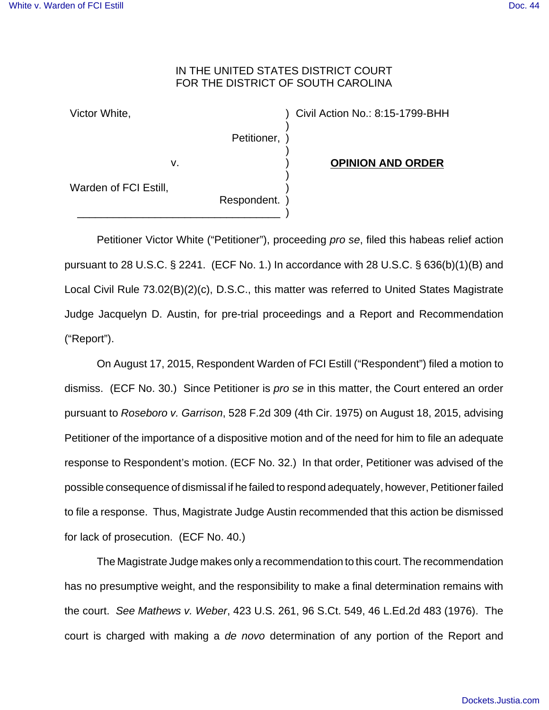## IN THE UNITED STATES DISTRICT COURT FOR THE DISTRICT OF SOUTH CAROLINA

) ) ) ) ) )

Victor White,

Petitioner,

v.

**OPINION AND ORDER**

) Civil Action No.: 8:15-1799-BHH

Warden of FCI Estill,

Respondent. \_\_\_\_\_\_\_\_\_\_\_\_\_\_\_\_\_\_\_\_\_\_\_\_\_\_\_\_\_\_\_\_\_\_ ) )

Petitioner Victor White ("Petitioner"), proceeding pro se, filed this habeas relief action pursuant to 28 U.S.C. § 2241. (ECF No. 1.) In accordance with 28 U.S.C. § 636(b)(1)(B) and Local Civil Rule 73.02(B)(2)(c), D.S.C., this matter was referred to United States Magistrate Judge Jacquelyn D. Austin, for pre-trial proceedings and a Report and Recommendation ("Report").

On August 17, 2015, Respondent Warden of FCI Estill ("Respondent") filed a motion to dismiss. (ECF No. 30.) Since Petitioner is pro se in this matter, the Court entered an order pursuant to Roseboro v. Garrison, 528 F.2d 309 (4th Cir. 1975) on August 18, 2015, advising Petitioner of the importance of a dispositive motion and of the need for him to file an adequate response to Respondent's motion. (ECF No. 32.) In that order, Petitioner was advised of the possible consequence of dismissal if he failed to respond adequately, however, Petitioner failed to file a response. Thus, Magistrate Judge Austin recommended that this action be dismissed for lack of prosecution. (ECF No. 40.)

The Magistrate Judge makes only a recommendation to this court. The recommendation has no presumptive weight, and the responsibility to make a final determination remains with the court. See Mathews v. Weber, 423 U.S. 261, 96 S.Ct. 549, 46 L.Ed.2d 483 (1976). The court is charged with making a de novo determination of any portion of the Report and